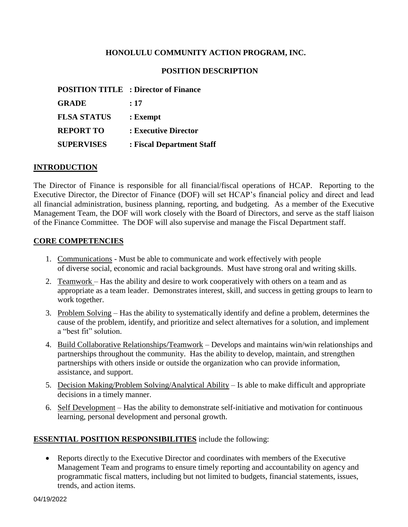#### **HONOLULU COMMUNITY ACTION PROGRAM, INC.**

#### **POSITION DESCRIPTION**

|                    | <b>POSITION TITLE : Director of Finance</b> |
|--------------------|---------------------------------------------|
| <b>GRADE</b>       | :17                                         |
| <b>FLSA STATUS</b> | : Exempt                                    |
| <b>REPORT TO</b>   | : Executive Director                        |
| <b>SUPERVISES</b>  | : Fiscal Department Staff                   |

#### **INTRODUCTION**

The Director of Finance is responsible for all financial/fiscal operations of HCAP. Reporting to the Executive Director, the Director of Finance (DOF) will set HCAP's financial policy and direct and lead all financial administration, business planning, reporting, and budgeting. As a member of the Executive Management Team, the DOF will work closely with the Board of Directors, and serve as the staff liaison of the Finance Committee. The DOF will also supervise and manage the Fiscal Department staff.

#### **CORE COMPETENCIES**

- 1. Communications Must be able to communicate and work effectively with people of diverse social, economic and racial backgrounds. Must have strong oral and writing skills.
- 2. Teamwork Has the ability and desire to work cooperatively with others on a team and as appropriate as a team leader. Demonstrates interest, skill, and success in getting groups to learn to work together.
- 3. Problem Solving Has the ability to systematically identify and define a problem, determines the cause of the problem, identify, and prioritize and select alternatives for a solution, and implement a "best fit" solution.
- 4. Build Collaborative Relationships/Teamwork Develops and maintains win/win relationships and partnerships throughout the community. Has the ability to develop, maintain, and strengthen partnerships with others inside or outside the organization who can provide information, assistance, and support.
- 5. Decision Making/Problem Solving/Analytical Ability Is able to make difficult and appropriate decisions in a timely manner.
- 6. Self Development Has the ability to demonstrate self-initiative and motivation for continuous learning, personal development and personal growth.

#### **ESSENTIAL POSITION RESPONSIBILITIES** include the following:

 Reports directly to the Executive Director and coordinates with members of the Executive Management Team and programs to ensure timely reporting and accountability on agency and programmatic fiscal matters, including but not limited to budgets, financial statements, issues, trends, and action items.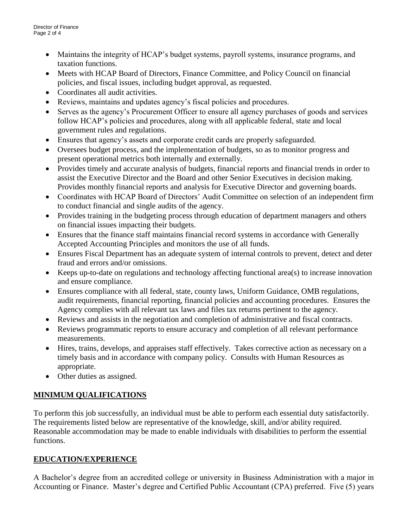- Maintains the integrity of HCAP's budget systems, payroll systems, insurance programs, and taxation functions.
- Meets with HCAP Board of Directors, Finance Committee, and Policy Council on financial policies, and fiscal issues, including budget approval, as requested.
- Coordinates all audit activities.
- Reviews, maintains and updates agency's fiscal policies and procedures.
- Serves as the agency's Procurement Officer to ensure all agency purchases of goods and services follow HCAP's policies and procedures, along with all applicable federal, state and local government rules and regulations.
- Ensures that agency's assets and corporate credit cards are properly safeguarded.
- Oversees budget process, and the implementation of budgets, so as to monitor progress and present operational metrics both internally and externally.
- Provides timely and accurate analysis of budgets, financial reports and financial trends in order to assist the Executive Director and the Board and other Senior Executives in decision making. Provides monthly financial reports and analysis for Executive Director and governing boards.
- Coordinates with HCAP Board of Directors' Audit Committee on selection of an independent firm to conduct financial and single audits of the agency.
- Provides training in the budgeting process through education of department managers and others on financial issues impacting their budgets.
- Ensures that the finance staff maintains financial record systems in accordance with Generally Accepted Accounting Principles and monitors the use of all funds.
- Ensures Fiscal Department has an adequate system of internal controls to prevent, detect and deter fraud and errors and/or omissions.
- Keeps up-to-date on regulations and technology affecting functional area(s) to increase innovation and ensure compliance.
- Ensures compliance with all federal, state, county laws, Uniform Guidance, OMB regulations, audit requirements, financial reporting, financial policies and accounting procedures. Ensures the Agency complies with all relevant tax laws and files tax returns pertinent to the agency.
- Reviews and assists in the negotiation and completion of administrative and fiscal contracts.
- Reviews programmatic reports to ensure accuracy and completion of all relevant performance measurements.
- Hires, trains, develops, and appraises staff effectively. Takes corrective action as necessary on a timely basis and in accordance with company policy. Consults with Human Resources as appropriate.
- Other duties as assigned.

# **MINIMUM QUALIFICATIONS**

To perform this job successfully, an individual must be able to perform each essential duty satisfactorily. The requirements listed below are representative of the knowledge, skill, and/or ability required. Reasonable accommodation may be made to enable individuals with disabilities to perform the essential functions.

# **EDUCATION/EXPERIENCE**

A Bachelor's degree from an accredited college or university in Business Administration with a major in Accounting or Finance. Master's degree and Certified Public Accountant (CPA) preferred. Five (5) years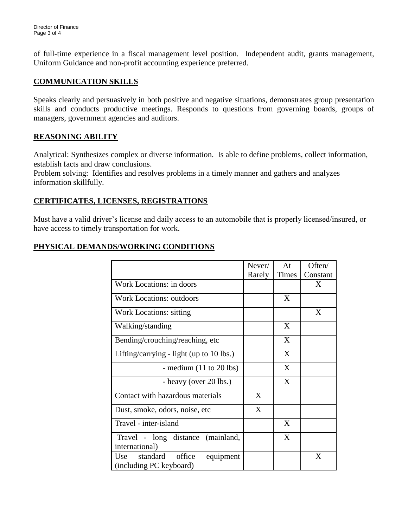of full-time experience in a fiscal management level position. Independent audit, grants management, Uniform Guidance and non-profit accounting experience preferred.

## **COMMUNICATION SKILLS**

Speaks clearly and persuasively in both positive and negative situations, demonstrates group presentation skills and conducts productive meetings. Responds to questions from governing boards, groups of managers, government agencies and auditors.

### **REASONING ABILITY**

Analytical: Synthesizes complex or diverse information. Is able to define problems, collect information, establish facts and draw conclusions.

Problem solving: Identifies and resolves problems in a timely manner and gathers and analyzes information skillfully.

# **CERTIFICATES, LICENSES, REGISTRATIONS**

Must have a valid driver's license and daily access to an automobile that is properly licensed/insured, or have access to timely transportation for work.

# **PHYSICAL DEMANDS/WORKING CONDITIONS**

|                                                                   | Never/ | At    | Often/   |
|-------------------------------------------------------------------|--------|-------|----------|
|                                                                   | Rarely | Times | Constant |
| Work Locations: in doors                                          |        |       | X        |
| <b>Work Locations: outdoors</b>                                   |        | X     |          |
| <b>Work Locations: sitting</b>                                    |        |       | X        |
| Walking/standing                                                  |        | X     |          |
| Bending/crouching/reaching, etc                                   |        | X     |          |
| Lifting/carrying - light (up to $10$ lbs.)                        |        | X     |          |
| - medium $(11 \text{ to } 20 \text{ lbs})$                        |        | X     |          |
| - heavy (over 20 lbs.)                                            |        | X     |          |
| Contact with hazardous materials                                  | X      |       |          |
| Dust, smoke, odors, noise, etc.                                   | X      |       |          |
| Travel - inter-island                                             |        | X     |          |
| Travel - long distance<br>(mainland,<br>international)            |        | X     |          |
| standard<br>office<br>Use<br>equipment<br>(including PC keyboard) |        |       | X        |